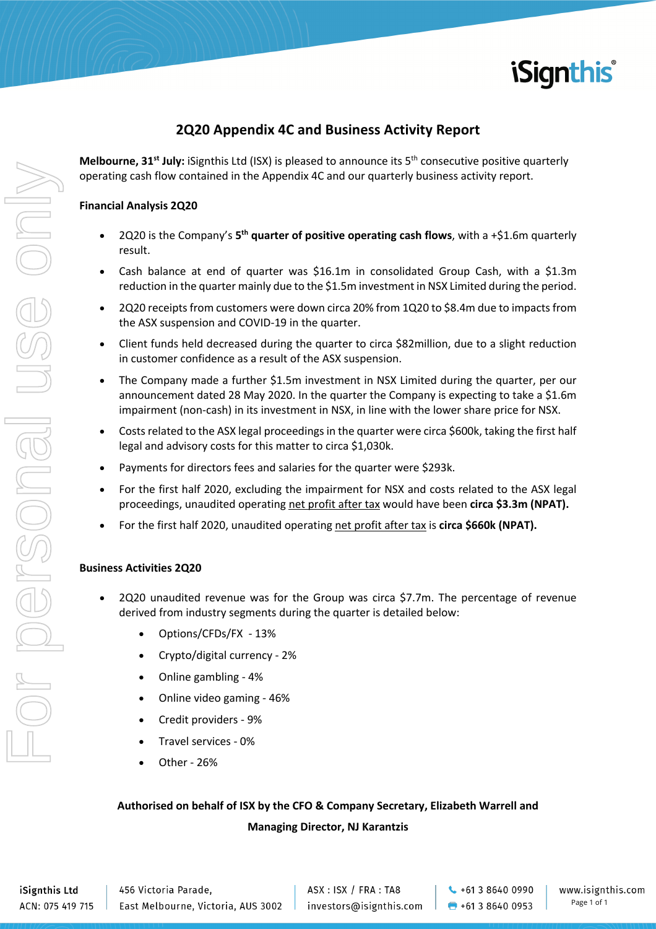

# **2Q20 Appendix 4C and Business Activity Report**

**Melbourne, 31st July:** iSignthis Ltd (ISX) is pleased to announce its 5th consecutive positive quarterly operating cash flow contained in the Appendix 4C and our quarterly business activity report.

## **Financial Analysis 2Q20**

- 2Q20 is the Company's **5th quarter of positive operating cash flows**, with a +\$1.6m quarterly result.
- Cash balance at end of quarter was \$16.1m in consolidated Group Cash, with a \$1.3m reduction in the quarter mainly due to the \$1.5m investment in NSX Limited during the period.
- 2Q20 receipts from customers were down circa 20% from 1Q20 to \$8.4m due to impacts from the ASX suspension and COVID-19 in the quarter.
- Client funds held decreased during the quarter to circa \$82million, due to a slight reduction in customer confidence as a result of the ASX suspension.
- The Company made a further \$1.5m investment in NSX Limited during the quarter, per our announcement dated 28 May 2020. In the quarter the Company is expecting to take a \$1.6m impairment (non-cash) in its investment in NSX, in line with the lower share price for NSX.
- Costs related to the ASX legal proceedings in the quarter were circa \$600k, taking the first half legal and advisory costs for this matter to circa \$1,030k.
- Payments for directors fees and salaries for the quarter were \$293k.
- For the first half 2020, excluding the impairment for NSX and costs related to the ASX legal proceedings, unaudited operating net profit after tax would have been **circa \$3.3m (NPAT).**
- For the first half 2020, unaudited operating net profit after tax is **circa \$660k (NPAT).**

### **Business Activities 2Q20**

- 2Q20 unaudited revenue was for the Group was circa \$7.7m. The percentage of revenue derived from industry segments during the quarter is detailed below:
	- Options/CFDs/FX 13%
	- Crypto/digital currency 2%
	- Online gambling 4%
	- Online video gaming 46%
	- Credit providers 9%
	- Travel services 0%
	- Other 26%

# **Authorised on behalf of ISX by the CFO & Company Secretary, Elizabeth Warrell and Managing Director, NJ Karantzis**

iSignthis Ltd ACN: 075 419 715 456 Victoria Parade, East Melbourne, Victoria, AUS 3002 ASX: ISX / FRA: TA8 investors@isignthis.com

 $\leftarrow$  +61 3 8640 0990  $\bullet$  +61 3 8640 0953 www.isignthis.com Page 1 of 1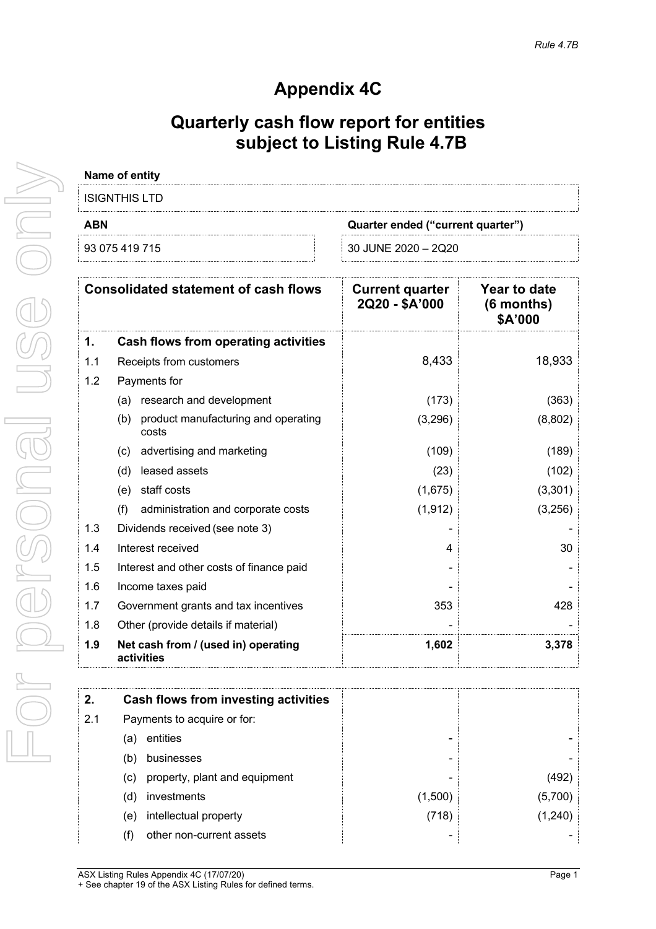# **Appendix 4C**

# **Quarterly cash flow report for entities subject to Listing Rule 4.7B**

|            | Name of entity                                      |                                          |                                                |
|------------|-----------------------------------------------------|------------------------------------------|------------------------------------------------|
|            | <b>ISIGNTHIS LTD</b>                                |                                          |                                                |
| <b>ABN</b> |                                                     | Quarter ended ("current quarter")        |                                                |
|            | 93 075 419 715                                      | 30 JUNE 2020 - 2Q20                      |                                                |
|            | <b>Consolidated statement of cash flows</b>         | <b>Current quarter</b><br>2Q20 - \$A'000 | <b>Year to date</b><br>$(6$ months)<br>\$A'000 |
| 1.         | <b>Cash flows from operating activities</b>         |                                          |                                                |
| 1.1        | Receipts from customers                             | 8,433                                    | 18,933                                         |
| 1.2        | Payments for                                        |                                          |                                                |
|            | research and development<br>(a)                     | (173)                                    | (363)                                          |
|            | product manufacturing and operating<br>(b)<br>costs | (3,296)                                  | (8,802)                                        |
|            | advertising and marketing<br>(c)                    | (109)                                    | (189)                                          |
|            | leased assets<br>(d)                                | (23)                                     | (102)                                          |
|            | (e) staff costs                                     | (1,675)                                  | (3,301)                                        |
|            | administration and corporate costs<br>(f)           | (1, 912)                                 | (3,256)                                        |
| 1.3        | Dividends received (see note 3)                     |                                          |                                                |
| 1.4        | Interest received                                   | 4                                        | 30                                             |
| 1.5        | Interest and other costs of finance paid            |                                          |                                                |
| 1.6        | Income taxes paid                                   |                                          |                                                |
| 1.7        | Government grants and tax incentives                | 353                                      | 428                                            |
| 1.8        | Other (provide details if material)                 |                                          |                                                |
| 1.9        | Net cash from / (used in) operating<br>activities   | 1,602                                    | 3,378                                          |
| 2.         | <b>Cash flows from investing activities</b>         |                                          |                                                |
| 2.1        | Payments to acquire or for:                         |                                          |                                                |
|            | entities<br>(a)                                     |                                          |                                                |
|            | businesses<br>(b)                                   |                                          |                                                |
|            | property, plant and equipment<br>(c)                |                                          | (492)                                          |
|            | investments<br>(d)                                  | (1,500)                                  | (5,700)                                        |
|            | intellectual property<br>(e)                        | (718)                                    | (1,240)                                        |
|            | other non-current assets<br>(f)                     |                                          |                                                |
|            |                                                     |                                          |                                                |

For personal use only ISO ONI I personel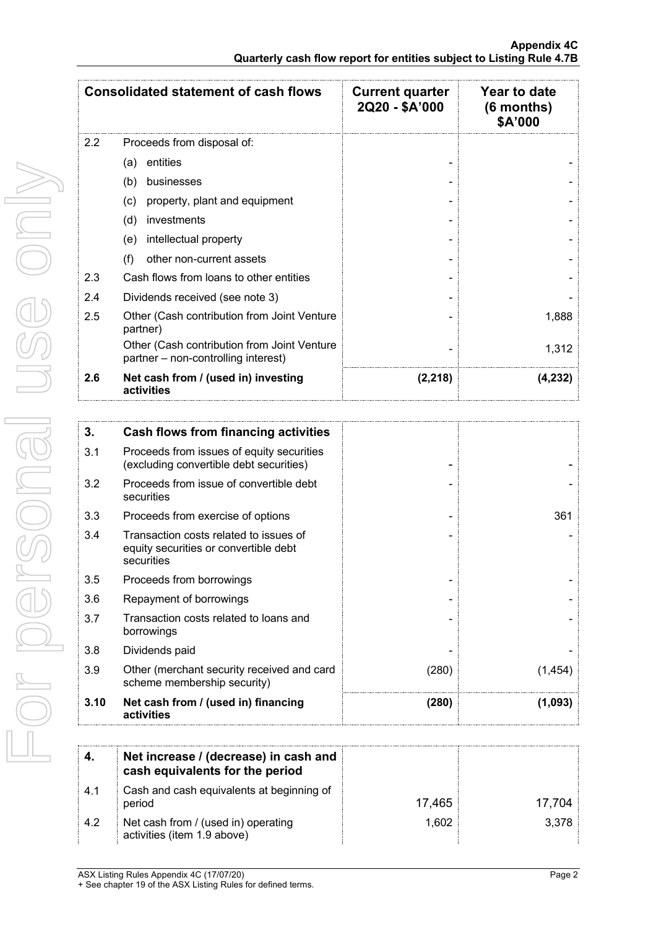| <b>Consolidated statement of cash flows</b> |                                                                                               | <b>Current quarter</b><br>2Q20 - \$A'000 | <b>Year to date</b><br>$(6$ months)<br>\$A'000 |
|---------------------------------------------|-----------------------------------------------------------------------------------------------|------------------------------------------|------------------------------------------------|
| 2.2                                         | Proceeds from disposal of:                                                                    |                                          |                                                |
|                                             | entities<br>(a)                                                                               |                                          |                                                |
|                                             | businesses<br>(b)                                                                             |                                          |                                                |
|                                             | (c)<br>property, plant and equipment                                                          |                                          |                                                |
|                                             | (d)<br>investments                                                                            |                                          |                                                |
|                                             | intellectual property<br>(e)                                                                  |                                          |                                                |
|                                             | other non-current assets<br>(f)                                                               |                                          |                                                |
| 2.3                                         | Cash flows from loans to other entities                                                       |                                          |                                                |
| 2.4                                         | Dividends received (see note 3)                                                               |                                          |                                                |
| 2.5                                         | Other (Cash contribution from Joint Venture<br>partner)                                       |                                          | 1,888                                          |
|                                             | Other (Cash contribution from Joint Venture<br>partner - non-controlling interest)            |                                          | 1,312                                          |
| 2.6                                         | Net cash from / (used in) investing<br>activities                                             | (2, 218)                                 | (4, 232)                                       |
|                                             |                                                                                               |                                          |                                                |
| 3.                                          | <b>Cash flows from financing activities</b>                                                   |                                          |                                                |
| 3.1                                         | Proceeds from issues of equity securities<br>(excluding convertible debt securities)          |                                          |                                                |
| 3.2                                         | Proceeds from issue of convertible debt<br>securities                                         |                                          |                                                |
| 3.3                                         | Proceeds from exercise of options                                                             |                                          | 361                                            |
| 3.4                                         | Transaction costs related to issues of<br>equity securities or convertible debt<br>securities |                                          |                                                |
| 3.5                                         | Proceeds from borrowings                                                                      |                                          |                                                |
| 3.6                                         | Repayment of borrowings                                                                       |                                          |                                                |
| 3.7                                         | Transaction costs related to loans and<br>borrowings                                          |                                          |                                                |
| 3.8                                         | Dividends paid                                                                                |                                          |                                                |
| 3.9                                         | Other (merchant security received and card<br>scheme membership security)                     | (280)                                    | (1,454)                                        |
| 3.10                                        | Net cash from / (used in) financing<br>activities                                             | (280)                                    | (1,093)                                        |
|                                             |                                                                                               |                                          |                                                |
| 4.                                          | Net increase / (decrease) in cash and<br>cash equivalents for the period                      |                                          |                                                |
| 4.1                                         | Cash and cash equivalents at beginning of<br>period                                           | 17,465                                   | 17,704                                         |
| 4.2                                         | Net cash from / (used in) operating<br>activities (item 1.9 above)                            | 1,602                                    | 3,378                                          |

For personal use only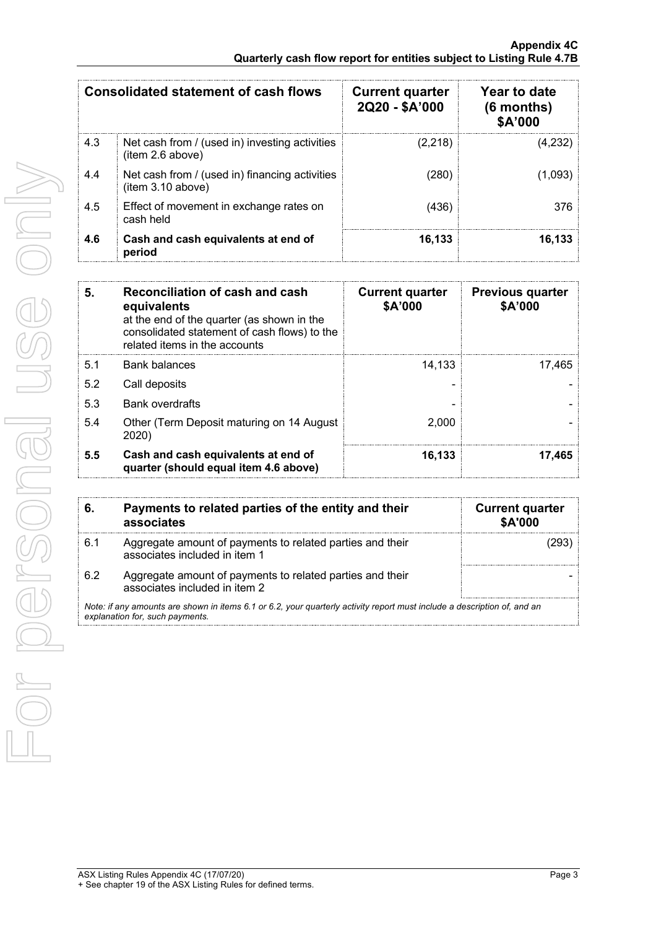|     | <b>Consolidated statement of cash flows</b>                         | <b>Current quarter</b><br>2Q20 - \$A'000 | Year to date<br>$(6$ months)<br>\$A'000 |
|-----|---------------------------------------------------------------------|------------------------------------------|-----------------------------------------|
| 4.3 | Net cash from / (used in) investing activities<br>(item 2.6 above)  | (2,218)                                  | (4,232)                                 |
| 4.4 | Net cash from / (used in) financing activities<br>(item 3.10 above) | (280)                                    | (1,093)                                 |
| 4.5 | Effect of movement in exchange rates on<br>cash held                | (436)                                    | 376                                     |
| 4.6 | Cash and cash equivalents at end of<br>period                       | 16.133                                   | 16.133                                  |

| 5.  | Reconciliation of cash and cash<br>equivalents<br>at the end of the quarter (as shown in the<br>consolidated statement of cash flows) to the<br>related items in the accounts | <b>Current quarter</b><br>\$A'000 | <b>Previous quarter</b><br>\$A'000 |
|-----|-------------------------------------------------------------------------------------------------------------------------------------------------------------------------------|-----------------------------------|------------------------------------|
| 5.1 | <b>Bank balances</b>                                                                                                                                                          | 14,133                            | 17.465                             |
| 5.2 | Call deposits                                                                                                                                                                 |                                   |                                    |
| 5.3 | <b>Bank overdrafts</b>                                                                                                                                                        |                                   |                                    |
| 5.4 | Other (Term Deposit maturing on 14 August)<br>2020)                                                                                                                           | 2.000                             |                                    |
| 5.5 | Cash and cash equivalents at end of<br>quarter (should equal item 4.6 above)                                                                                                  | 16,133                            | 17.465                             |

| 6.  | Payments to related parties of the entity and their<br>associates                                                                                           | <b>Current quarter</b><br><b>\$A'000</b> |
|-----|-------------------------------------------------------------------------------------------------------------------------------------------------------------|------------------------------------------|
| 6.1 | Aggregate amount of payments to related parties and their<br>associates included in item 1                                                                  |                                          |
| 6.2 | Aggregate amount of payments to related parties and their<br>associates included in item 2                                                                  |                                          |
|     | Note: if any amounts are shown in items 6.1 or 6.2, your quarterly activity report must include a description of, and an<br>explanation for, such payments. |                                          |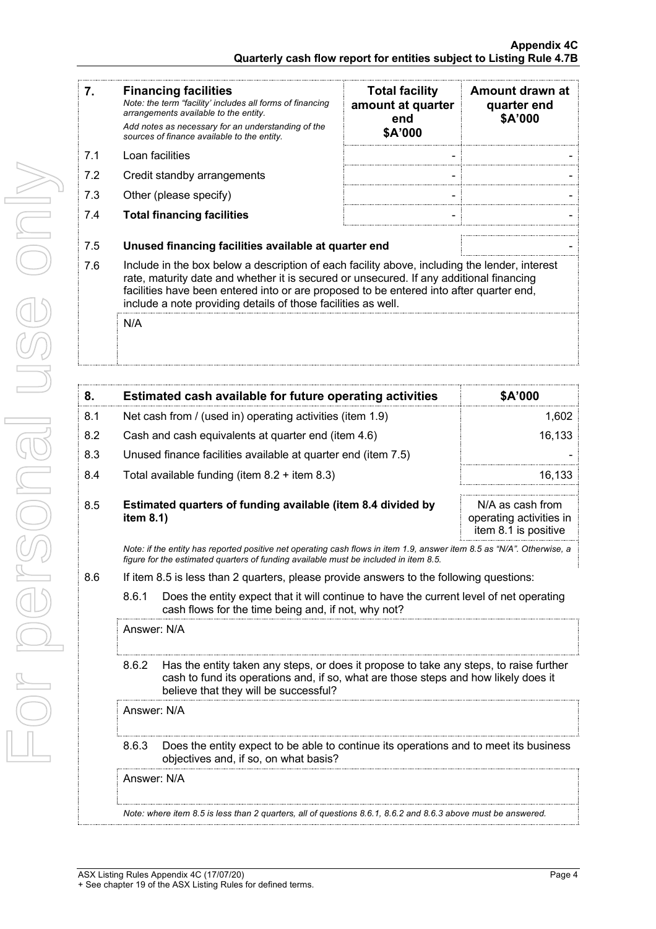| 7.  | <b>Financing facilities</b><br>Note: the term "facility' includes all forms of financing<br>arrangements available to the entity.<br>Add notes as necessary for an understanding of the<br>sources of finance available to the entity.                                                                                                                      | <b>Total facility</b><br>amount at quarter<br>end<br>\$A'000 | Amount drawn at<br>quarter end<br>\$A'000                           |
|-----|-------------------------------------------------------------------------------------------------------------------------------------------------------------------------------------------------------------------------------------------------------------------------------------------------------------------------------------------------------------|--------------------------------------------------------------|---------------------------------------------------------------------|
| 7.1 | Loan facilities                                                                                                                                                                                                                                                                                                                                             |                                                              |                                                                     |
| 7.2 | Credit standby arrangements                                                                                                                                                                                                                                                                                                                                 |                                                              |                                                                     |
| 7.3 | Other (please specify)                                                                                                                                                                                                                                                                                                                                      |                                                              |                                                                     |
| 7.4 | <b>Total financing facilities</b>                                                                                                                                                                                                                                                                                                                           |                                                              |                                                                     |
| 7.5 | Unused financing facilities available at quarter end                                                                                                                                                                                                                                                                                                        |                                                              |                                                                     |
| 7.6 | Include in the box below a description of each facility above, including the lender, interest<br>rate, maturity date and whether it is secured or unsecured. If any additional financing<br>facilities have been entered into or are proposed to be entered into after quarter end,<br>include a note providing details of those facilities as well.<br>N/A |                                                              |                                                                     |
|     |                                                                                                                                                                                                                                                                                                                                                             |                                                              |                                                                     |
| 8.  | <b>Estimated cash available for future operating activities</b>                                                                                                                                                                                                                                                                                             |                                                              | \$A'000                                                             |
| 8.1 | Net cash from / (used in) operating activities (item 1.9)                                                                                                                                                                                                                                                                                                   |                                                              |                                                                     |
| 8.2 | Cash and cash equivalents at quarter end (item 4.6)                                                                                                                                                                                                                                                                                                         |                                                              |                                                                     |
| 8.3 | Unused finance facilities available at quarter end (item 7.5)                                                                                                                                                                                                                                                                                               |                                                              |                                                                     |
| 8.4 | Total available funding (item 8.2 + item 8.3)                                                                                                                                                                                                                                                                                                               |                                                              |                                                                     |
| 8.5 | Estimated quarters of funding available (item 8.4 divided by<br>item 8.1)                                                                                                                                                                                                                                                                                   |                                                              | N/A as cash from<br>operating activities in<br>item 8.1 is positive |
|     | Note: if the entity has reported positive net operating cash flows in item 1.9, answer item 8.5 as "N/A". Otherwise, a<br>figure for the estimated quarters of funding available must be included in item 8.5.                                                                                                                                              |                                                              |                                                                     |
| 8.6 | If item 8.5 is less than 2 quarters, please provide answers to the following questions:                                                                                                                                                                                                                                                                     |                                                              |                                                                     |
|     | 8.6.1<br>Does the entity expect that it will continue to have the current level of net operating<br>cash flows for the time being and, if not, why not?                                                                                                                                                                                                     |                                                              |                                                                     |
|     | Answer: N/A                                                                                                                                                                                                                                                                                                                                                 |                                                              | 1,602<br>16,133<br>16,133                                           |

8.6.2 Has the entity taken any steps, or does it propose to take any steps, to raise further cash to fund its operations and, if so, what are those steps and how likely does it

8.6.3 Does the entity expect to be able to continue its operations and to meet its business

*Note: where item 8.5 is less than 2 quarters, all of questions 8.6.1, 8.6.2 and 8.6.3 above must be answered.*

Answer: N/A

Answer: N/A

believe that they will be successful?

objectives and, if so, on what basis?

Ì

 $\frac{1}{\sqrt{2}}$ 

Ì

ļ